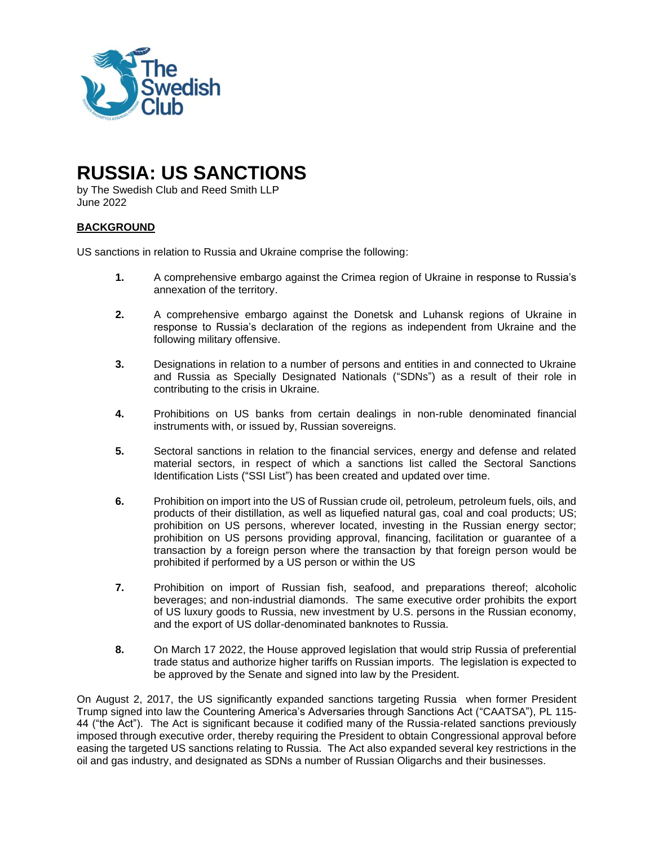

# **RUSSIA: US SANCTIONS**

by The Swedish Club and Reed Smith LLP June 2022

# **BACKGROUND**

US sanctions in relation to Russia and Ukraine comprise the following:

- **1.** A comprehensive embargo against the Crimea region of Ukraine in response to Russia's annexation of the territory.
- **2.** A comprehensive embargo against the Donetsk and Luhansk regions of Ukraine in response to Russia's declaration of the regions as independent from Ukraine and the following military offensive.
- **3.** Designations in relation to a number of persons and entities in and connected to Ukraine and Russia as Specially Designated Nationals ("SDNs") as a result of their role in contributing to the crisis in Ukraine.
- **4.** Prohibitions on US banks from certain dealings in non-ruble denominated financial instruments with, or issued by, Russian sovereigns.
- **5.** Sectoral sanctions in relation to the financial services, energy and defense and related material sectors, in respect of which a sanctions list called the Sectoral Sanctions Identification Lists ("SSI List") has been created and updated over time.
- **6.** Prohibition on import into the US of Russian crude oil, petroleum, petroleum fuels, oils, and products of their distillation, as well as liquefied natural gas, coal and coal products; US; prohibition on US persons, wherever located, investing in the Russian energy sector; prohibition on US persons providing approval, financing, facilitation or guarantee of a transaction by a foreign person where the transaction by that foreign person would be prohibited if performed by a US person or within the US
- **7.** Prohibition on import of Russian fish, seafood, and preparations thereof; alcoholic beverages; and non-industrial diamonds. The same executive order prohibits the export of US luxury goods to Russia, new investment by U.S. persons in the Russian economy, and the export of US dollar-denominated banknotes to Russia.
- **8.** On March 17 2022, the House approved legislation that would strip Russia of preferential trade status and authorize higher tariffs on Russian imports. The legislation is expected to be approved by the Senate and signed into law by the President.

On August 2, 2017, the US significantly expanded sanctions targeting Russia when former President Trump signed into law the Countering America's Adversaries through Sanctions Act ("CAATSA"), PL 115- 44 ("the Act"). The Act is significant because it codified many of the Russia-related sanctions previously imposed through executive order, thereby requiring the President to obtain Congressional approval before easing the targeted US sanctions relating to Russia. The Act also expanded several key restrictions in the oil and gas industry, and designated as SDNs a number of Russian Oligarchs and their businesses.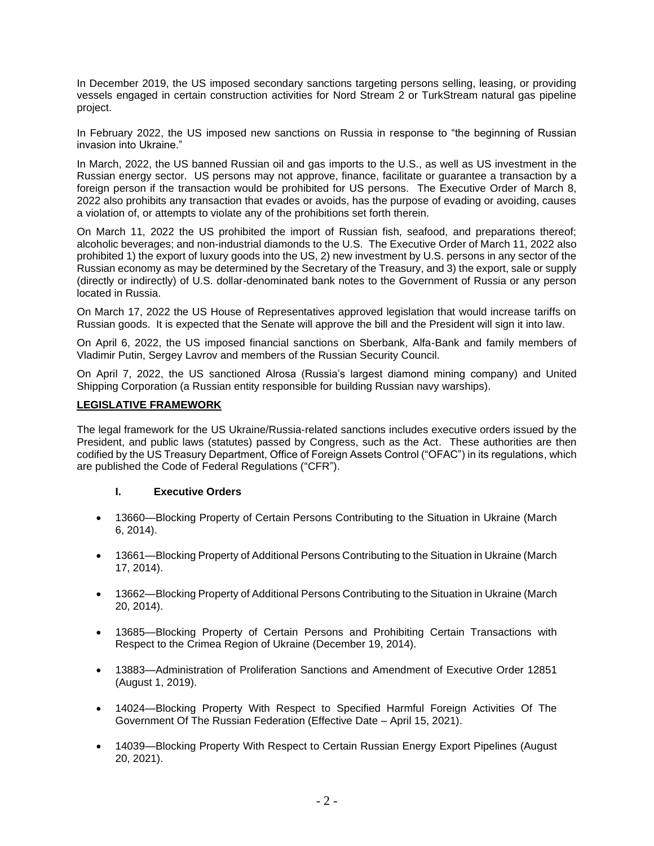In December 2019, the US imposed secondary sanctions targeting persons selling, leasing, or providing vessels engaged in certain construction activities for Nord Stream 2 or TurkStream natural gas pipeline project.

In February 2022, the US imposed new sanctions on Russia in response to "the beginning of Russian invasion into Ukraine."

In March, 2022, the US banned Russian oil and gas imports to the U.S., as well as US investment in the Russian energy sector. US persons may not approve, finance, facilitate or guarantee a transaction by a foreign person if the transaction would be prohibited for US persons. The Executive Order of March 8, 2022 also prohibits any transaction that evades or avoids, has the purpose of evading or avoiding, causes a violation of, or attempts to violate any of the prohibitions set forth therein.

On March 11, 2022 the US prohibited the import of Russian fish, seafood, and preparations thereof; alcoholic beverages; and non-industrial diamonds to the U.S. The Executive Order of March 11, 2022 also prohibited 1) the export of luxury goods into the US, 2) new investment by U.S. persons in any sector of the Russian economy as may be determined by the Secretary of the Treasury, and 3) the export, sale or supply (directly or indirectly) of U.S. dollar-denominated bank notes to the Government of Russia or any person located in Russia.

On March 17, 2022 the US House of Representatives approved legislation that would increase tariffs on Russian goods. It is expected that the Senate will approve the bill and the President will sign it into law.

On April 6, 2022, the US imposed financial sanctions on Sberbank, Alfa-Bank and family members of Vladimir Putin, Sergey Lavrov and members of the Russian Security Council.

On April 7, 2022, the US sanctioned Alrosa (Russia's largest diamond mining company) and United Shipping Corporation (a Russian entity responsible for building Russian navy warships).

### **LEGISLATIVE FRAMEWORK**

The legal framework for the US Ukraine/Russia-related sanctions includes executive orders issued by the President, and public laws (statutes) passed by Congress, such as the Act. These authorities are then codified by the US Treasury Department, Office of Foreign Assets Control ("OFAC") in its regulations, which are published the Code of Federal Regulations ("CFR").

### **I. Executive Orders**

- 13660—Blocking Property of Certain Persons Contributing to the Situation in Ukraine (March 6, 2014).
- 13661—Blocking Property of Additional Persons Contributing to the Situation in Ukraine (March 17, 2014).
- 13662—Blocking Property of Additional Persons Contributing to the Situation in Ukraine (March 20, 2014).
- 13685—Blocking Property of Certain Persons and Prohibiting Certain Transactions with Respect to the Crimea Region of Ukraine (December 19, 2014).
- 13883—Administration of Proliferation Sanctions and Amendment of Executive Order 12851 (August 1, 2019).
- 14024—Blocking Property With Respect to Specified Harmful Foreign Activities Of The Government Of The Russian Federation (Effective Date – April 15, 2021).
- 14039—Blocking Property With Respect to Certain Russian Energy Export Pipelines (August 20, 2021).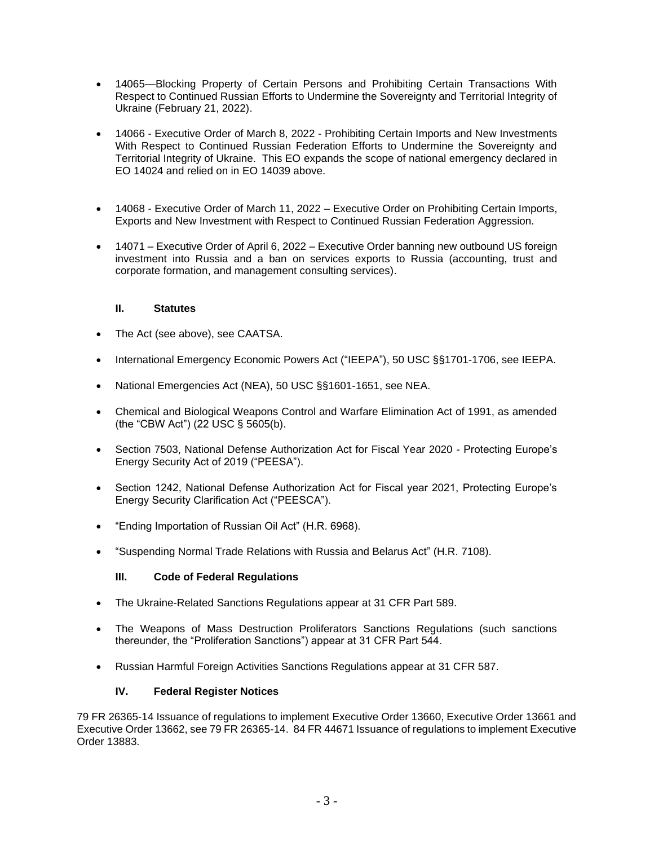- 14065—Blocking Property of Certain Persons and Prohibiting Certain Transactions With Respect to Continued Russian Efforts to Undermine the Sovereignty and Territorial Integrity of Ukraine (February 21, 2022).
- 14066 Executive Order of March 8, 2022 Prohibiting Certain Imports and New Investments With Respect to Continued Russian Federation Efforts to Undermine the Sovereignty and Territorial Integrity of Ukraine. This EO expands the scope of national emergency declared in EO 14024 and relied on in EO 14039 above.
- 14068 Executive Order of March 11, 2022 Executive Order on Prohibiting Certain Imports, Exports and New Investment with Respect to Continued Russian Federation Aggression.
- 14071 Executive Order of April 6, 2022 Executive Order banning new outbound US foreign investment into Russia and a ban on services exports to Russia (accounting, trust and corporate formation, and management consulting services).

# **II. Statutes**

- The Act (see above), see CAATSA.
- International Emergency Economic Powers Act ("IEEPA"), 50 USC §§1701-1706, see IEEPA.
- National Emergencies Act (NEA), 50 USC §§1601-1651, see NEA.
- Chemical and Biological Weapons Control and Warfare Elimination Act of 1991, as amended (the "CBW Act") (22 USC § 5605(b).
- Section 7503, National Defense Authorization Act for Fiscal Year 2020 Protecting Europe's Energy Security Act of 2019 ("PEESA").
- Section 1242, National Defense Authorization Act for Fiscal year 2021, Protecting Europe's Energy Security Clarification Act ("PEESCA").
- "Ending Importation of Russian Oil Act" (H.R. 6968).
- "Suspending Normal Trade Relations with Russia and Belarus Act" (H.R. 7108).

# **III. Code of Federal Regulations**

- The Ukraine-Related Sanctions Regulations appear at 31 CFR Part 589.
- The Weapons of Mass Destruction Proliferators Sanctions Regulations (such sanctions thereunder, the "Proliferation Sanctions") appear at 31 CFR Part 544.
- Russian Harmful Foreign Activities Sanctions Regulations appear at 31 CFR 587.

# **IV. Federal Register Notices**

79 FR 26365-14 Issuance of regulations to implement Executive Order 13660, Executive Order 13661 and Executive Order 13662, see 79 FR 26365-14. 84 FR 44671 Issuance of regulations to implement Executive Order 13883.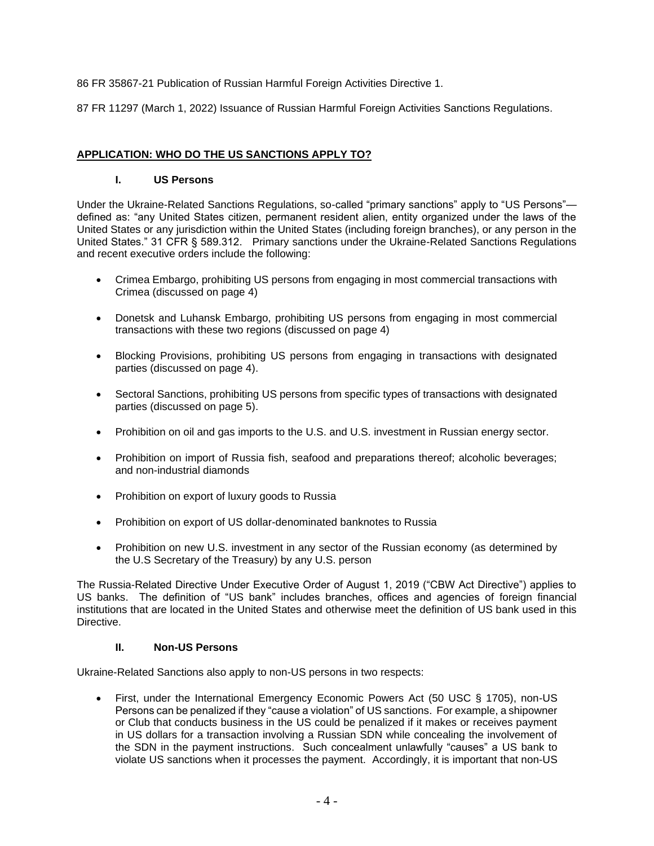86 FR 35867-21 Publication of Russian Harmful Foreign Activities Directive 1.

87 FR 11297 (March 1, 2022) Issuance of Russian Harmful Foreign Activities Sanctions Regulations.

# **APPLICATION: WHO DO THE US SANCTIONS APPLY TO?**

# **I. US Persons**

Under the Ukraine-Related Sanctions Regulations, so-called "primary sanctions" apply to "US Persons" defined as: "any United States citizen, permanent resident alien, entity organized under the laws of the United States or any jurisdiction within the United States (including foreign branches), or any person in the United States." 31 CFR § 589.312. Primary sanctions under the Ukraine-Related Sanctions Regulations and recent executive orders include the following:

- Crimea Embargo, prohibiting US persons from engaging in most commercial transactions with Crimea (discussed on page 4)
- Donetsk and Luhansk Embargo, prohibiting US persons from engaging in most commercial transactions with these two regions (discussed on page 4)
- Blocking Provisions, prohibiting US persons from engaging in transactions with designated parties (discussed on page 4).
- Sectoral Sanctions, prohibiting US persons from specific types of transactions with designated parties (discussed on page 5).
- Prohibition on oil and gas imports to the U.S. and U.S. investment in Russian energy sector.
- Prohibition on import of Russia fish, seafood and preparations thereof; alcoholic beverages; and non-industrial diamonds
- Prohibition on export of luxury goods to Russia
- Prohibition on export of US dollar-denominated banknotes to Russia
- Prohibition on new U.S. investment in any sector of the Russian economy (as determined by the U.S Secretary of the Treasury) by any U.S. person

The Russia-Related Directive Under Executive Order of August 1, 2019 ("CBW Act Directive") applies to US banks. The definition of "US bank" includes branches, offices and agencies of foreign financial institutions that are located in the United States and otherwise meet the definition of US bank used in this Directive.

# **II. Non-US Persons**

Ukraine-Related Sanctions also apply to non-US persons in two respects:

• First, under the International Emergency Economic Powers Act (50 USC § 1705), non-US Persons can be penalized if they "cause a violation" of US sanctions. For example, a shipowner or Club that conducts business in the US could be penalized if it makes or receives payment in US dollars for a transaction involving a Russian SDN while concealing the involvement of the SDN in the payment instructions. Such concealment unlawfully "causes" a US bank to violate US sanctions when it processes the payment. Accordingly, it is important that non-US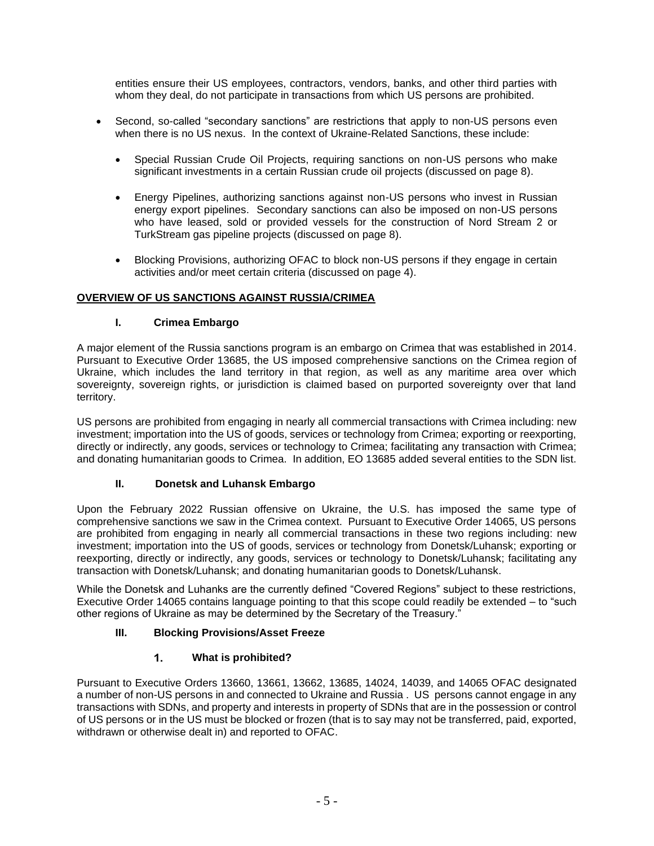entities ensure their US employees, contractors, vendors, banks, and other third parties with whom they deal, do not participate in transactions from which US persons are prohibited.

- Second, so-called "secondary sanctions" are restrictions that apply to non-US persons even when there is no US nexus. In the context of Ukraine-Related Sanctions, these include:
	- Special Russian Crude Oil Projects, requiring sanctions on non-US persons who make significant investments in a certain Russian crude oil projects (discussed on page 8).
	- Energy Pipelines, authorizing sanctions against non-US persons who invest in Russian energy export pipelines. Secondary sanctions can also be imposed on non-US persons who have leased, sold or provided vessels for the construction of Nord Stream 2 or TurkStream gas pipeline projects (discussed on page 8).
	- Blocking Provisions, authorizing OFAC to block non-US persons if they engage in certain activities and/or meet certain criteria (discussed on page 4).

# **OVERVIEW OF US SANCTIONS AGAINST RUSSIA/CRIMEA**

# **I. Crimea Embargo**

A major element of the Russia sanctions program is an embargo on Crimea that was established in 2014. Pursuant to Executive Order 13685, the US imposed comprehensive sanctions on the Crimea region of Ukraine, which includes the land territory in that region, as well as any maritime area over which sovereignty, sovereign rights, or jurisdiction is claimed based on purported sovereignty over that land territory.

US persons are prohibited from engaging in nearly all commercial transactions with Crimea including: new investment; importation into the US of goods, services or technology from Crimea; exporting or reexporting, directly or indirectly, any goods, services or technology to Crimea; facilitating any transaction with Crimea; and donating humanitarian goods to Crimea. In addition, EO 13685 added several entities to the SDN list.

# **II. Donetsk and Luhansk Embargo**

Upon the February 2022 Russian offensive on Ukraine, the U.S. has imposed the same type of comprehensive sanctions we saw in the Crimea context. Pursuant to Executive Order 14065, US persons are prohibited from engaging in nearly all commercial transactions in these two regions including: new investment; importation into the US of goods, services or technology from Donetsk/Luhansk; exporting or reexporting, directly or indirectly, any goods, services or technology to Donetsk/Luhansk; facilitating any transaction with Donetsk/Luhansk; and donating humanitarian goods to Donetsk/Luhansk.

While the Donetsk and Luhanks are the currently defined "Covered Regions" subject to these restrictions, Executive Order 14065 contains language pointing to that this scope could readily be extended – to "such other regions of Ukraine as may be determined by the Secretary of the Treasury."

# **III. Blocking Provisions/Asset Freeze**

#### $1<sub>1</sub>$ **What is prohibited?**

Pursuant to Executive Orders 13660, 13661, 13662, 13685, 14024, 14039, and 14065 OFAC designated a number of non-US persons in and connected to Ukraine and Russia . US persons cannot engage in any transactions with SDNs, and property and interests in property of SDNs that are in the possession or control of US persons or in the US must be blocked or frozen (that is to say may not be transferred, paid, exported, withdrawn or otherwise dealt in) and reported to OFAC.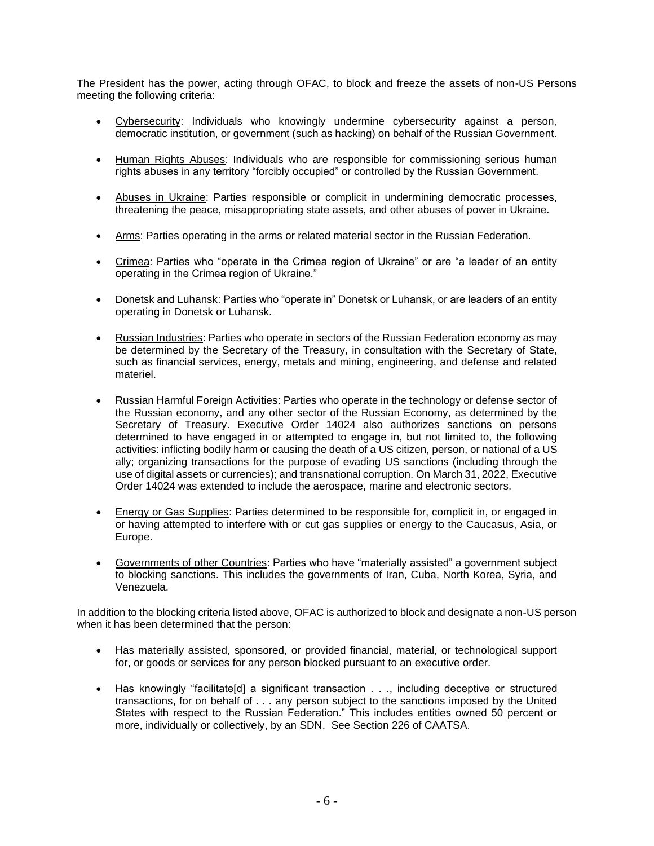The President has the power, acting through OFAC, to block and freeze the assets of non-US Persons meeting the following criteria:

- Cybersecurity: Individuals who knowingly undermine cybersecurity against a person, democratic institution, or government (such as hacking) on behalf of the Russian Government.
- Human Rights Abuses: Individuals who are responsible for commissioning serious human rights abuses in any territory "forcibly occupied" or controlled by the Russian Government.
- Abuses in Ukraine: Parties responsible or complicit in undermining democratic processes, threatening the peace, misappropriating state assets, and other abuses of power in Ukraine.
- Arms: Parties operating in the arms or related material sector in the Russian Federation.
- Crimea: Parties who "operate in the Crimea region of Ukraine" or are "a leader of an entity operating in the Crimea region of Ukraine."
- Donetsk and Luhansk: Parties who "operate in" Donetsk or Luhansk, or are leaders of an entity operating in Donetsk or Luhansk.
- Russian Industries: Parties who operate in sectors of the Russian Federation economy as may be determined by the Secretary of the Treasury, in consultation with the Secretary of State, such as financial services, energy, metals and mining, engineering, and defense and related materiel.
- Russian Harmful Foreign Activities: Parties who operate in the technology or defense sector of the Russian economy, and any other sector of the Russian Economy, as determined by the Secretary of Treasury. Executive Order 14024 also authorizes sanctions on persons determined to have engaged in or attempted to engage in, but not limited to, the following activities: inflicting bodily harm or causing the death of a US citizen, person, or national of a US ally; organizing transactions for the purpose of evading US sanctions (including through the use of digital assets or currencies); and transnational corruption. On March 31, 2022, Executive Order 14024 was extended to include the aerospace, marine and electronic sectors.
- Energy or Gas Supplies: Parties determined to be responsible for, complicit in, or engaged in or having attempted to interfere with or cut gas supplies or energy to the Caucasus, Asia, or Europe.
- Governments of other Countries: Parties who have "materially assisted" a government subject to blocking sanctions. This includes the governments of Iran, Cuba, North Korea, Syria, and Venezuela.

In addition to the blocking criteria listed above, OFAC is authorized to block and designate a non-US person when it has been determined that the person:

- Has materially assisted, sponsored, or provided financial, material, or technological support for, or goods or services for any person blocked pursuant to an executive order.
- Has knowingly "facilitate[d] a significant transaction . . ., including deceptive or structured transactions, for on behalf of . . . any person subject to the sanctions imposed by the United States with respect to the Russian Federation." This includes entities owned 50 percent or more, individually or collectively, by an SDN. See Section 226 of CAATSA.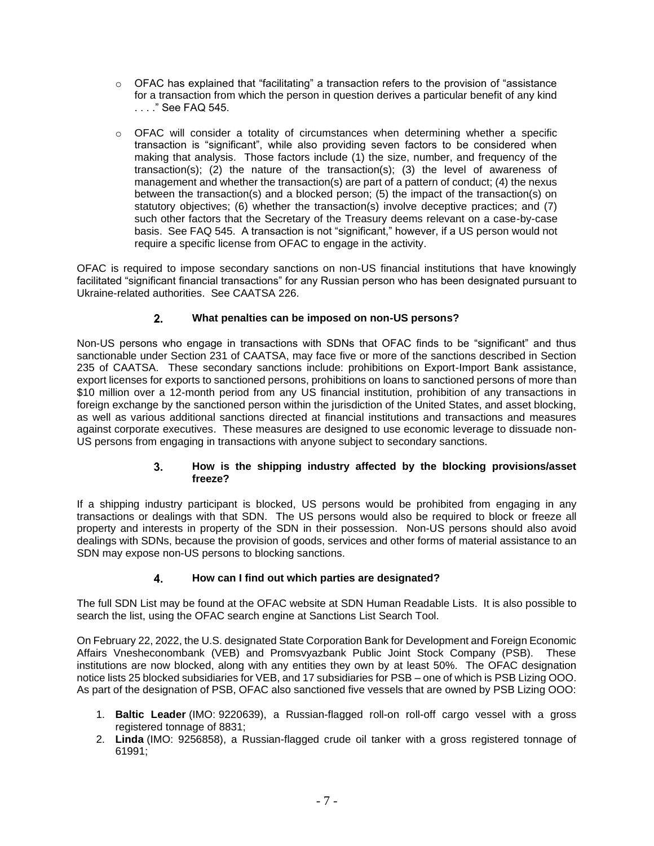- $\circ$  OFAC has explained that "facilitating" a transaction refers to the provision of "assistance for a transaction from which the person in question derives a particular benefit of any kind . . . ." See FAQ 545.
- $\circ$  OFAC will consider a totality of circumstances when determining whether a specific transaction is "significant", while also providing seven factors to be considered when making that analysis. Those factors include (1) the size, number, and frequency of the transaction(s); (2) the nature of the transaction(s); (3) the level of awareness of management and whether the transaction(s) are part of a pattern of conduct; (4) the nexus between the transaction(s) and a blocked person; (5) the impact of the transaction(s) on statutory objectives; (6) whether the transaction(s) involve deceptive practices; and (7) such other factors that the Secretary of the Treasury deems relevant on a case-by-case basis. See FAQ 545. A transaction is not "significant," however, if a US person would not require a specific license from OFAC to engage in the activity.

OFAC is required to impose secondary sanctions on non-US financial institutions that have knowingly facilitated "significant financial transactions" for any Russian person who has been designated pursuant to Ukraine-related authorities. See CAATSA 226.

#### $2.$ **What penalties can be imposed on non-US persons?**

Non-US persons who engage in transactions with SDNs that OFAC finds to be "significant" and thus sanctionable under Section 231 of CAATSA, may face five or more of the sanctions described in Section 235 of CAATSA. These secondary sanctions include: prohibitions on Export-Import Bank assistance, export licenses for exports to sanctioned persons, prohibitions on loans to sanctioned persons of more than \$10 million over a 12-month period from any US financial institution, prohibition of any transactions in foreign exchange by the sanctioned person within the jurisdiction of the United States, and asset blocking, as well as various additional sanctions directed at financial institutions and transactions and measures against corporate executives. These measures are designed to use economic leverage to dissuade non-US persons from engaging in transactions with anyone subject to secondary sanctions.

#### $3<sub>1</sub>$ **How is the shipping industry affected by the blocking provisions/asset freeze?**

If a shipping industry participant is blocked, US persons would be prohibited from engaging in any transactions or dealings with that SDN. The US persons would also be required to block or freeze all property and interests in property of the SDN in their possession. Non-US persons should also avoid dealings with SDNs, because the provision of goods, services and other forms of material assistance to an SDN may expose non-US persons to blocking sanctions.

#### **How can I find out which parties are designated?**  $\mathbf{4}$

The full SDN List may be found at the OFAC website at [SDN Human Readable Lists.](https://home.treasury.gov/policy-issues/financial-sanctions/specially-designated-nationals-and-blocked-persons-list-sdn-human-readable-lists#:~:text=Specially%20Designated%20Nationals%20And%20Blocked%20Persons%20List%20(SDN)%20Human%20Readable%20Lists,-Last%20Updated%3A%2007&text=As%20part%20of%20its%20enforcement,on%20behalf%20of%2C%20targeted%20countries.) It is also possible to search the list, using the OFAC search engine at Sanctions List Search Tool.

On February 22, 2022, the U.S. designated State Corporation Bank for Development and Foreign Economic Affairs Vnesheconombank (VEB) and Promsvyazbank Public Joint Stock Company (PSB). These institutions are now blocked, along with any entities they own by at least 50%. The OFAC designation notice lists 25 blocked subsidiaries for VEB, and 17 subsidiaries for PSB – one of which is PSB Lizing OOO. As part of the designation of PSB, OFAC also sanctioned five vessels that are owned by PSB Lizing OOO:

- 1. **Baltic Leader** (IMO: 9220639), a Russian-flagged roll-on roll-off cargo vessel with a gross registered tonnage of 8831;
- 2. **Linda** (IMO: 9256858), a Russian-flagged crude oil tanker with a gross registered tonnage of 61991;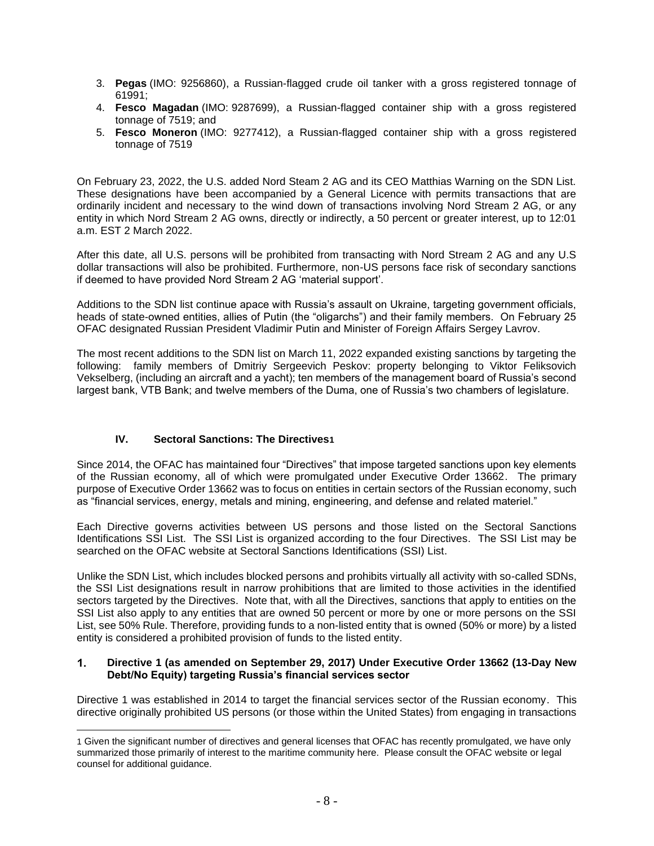- 3. **Pegas** (IMO: 9256860), a Russian-flagged crude oil tanker with a gross registered tonnage of 61991;
- 4. **Fesco Magadan** (IMO: 9287699), a Russian-flagged container ship with a gross registered tonnage of 7519; and
- 5. **Fesco Moneron** (IMO: 9277412), a Russian-flagged container ship with a gross registered tonnage of 7519

On February 23, 2022, the U.S. added Nord Steam 2 AG and its CEO Matthias Warning on the SDN List. These designations have been accompanied by a General Licence with permits transactions that are ordinarily incident and necessary to the wind down of transactions involving Nord Stream 2 AG, or any entity in which Nord Stream 2 AG owns, directly or indirectly, a 50 percent or greater interest, up to 12:01 a.m. EST 2 March 2022.

After this date, all U.S. persons will be prohibited from transacting with Nord Stream 2 AG and any U.S dollar transactions will also be prohibited. Furthermore, non-US persons face risk of secondary sanctions if deemed to have provided Nord Stream 2 AG 'material support'.

Additions to the SDN list continue apace with Russia's assault on Ukraine, targeting government officials, heads of state-owned entities, allies of Putin (the "oligarchs") and their family members. On February 25 OFAC designated Russian President Vladimir Putin and Minister of Foreign Affairs Sergey Lavrov.

The most recent additions to the SDN list on March 11, 2022 expanded existing sanctions by targeting the following: family members of Dmitriy Sergeevich Peskov: property belonging to Viktor Feliksovich Vekselberg, (including an aircraft and a yacht); ten members of the management board of Russia's second largest bank, VTB Bank; and twelve members of the Duma, one of Russia's two chambers of legislature.

# **IV. Sectoral Sanctions: The Directives1**

Since 2014, the OFAC has maintained four "Directives" that impose targeted sanctions upon key elements of the Russian economy, all of which were promulgated under Executive Order 13662. The primary purpose of Executive Order 13662 was to focus on entities in certain sectors of the Russian economy, such as "financial services, energy, metals and mining, engineering, and defense and related materiel."

Each Directive governs activities between US persons and those listed on the Sectoral Sanctions Identifications SSI List. The SSI List is organized according to the four Directives. The SSI List may be searched on the OFAC website at Sectoral Sanctions Identifications (SSI) List.

Unlike the SDN List, which includes blocked persons and prohibits virtually all activity with so-called SDNs, the SSI List designations result in narrow prohibitions that are limited to those activities in the identified sectors targeted by the Directives. Note that, with all the Directives, sanctions that apply to entities on the SSI List also apply to any entities that are owned 50 percent or more by one or more persons on the SSI List, see [50% Rule.](https://www.treasury.gov/resource-center/faqs/Sanctions/Pages/faq_general.aspx#50_percent) Therefore, providing funds to a non-listed entity that is owned (50% or more) by a listed entity is considered a prohibited provision of funds to the listed entity.

#### $1<sub>1</sub>$ **Directive 1 (as amended on September 29, 2017) Under Executive Order 13662 (13-Day New Debt/No Equity) targeting Russia's financial services sector**

Directive 1 was established in 2014 to target the financial services sector of the Russian economy. This directive originally prohibited US persons (or those within the United States) from engaging in transactions

<sup>1</sup> Given the significant number of directives and general licenses that OFAC has recently promulgated, we have only summarized those primarily of interest to the maritime community here. Please consult the OFAC website or legal counsel for additional guidance.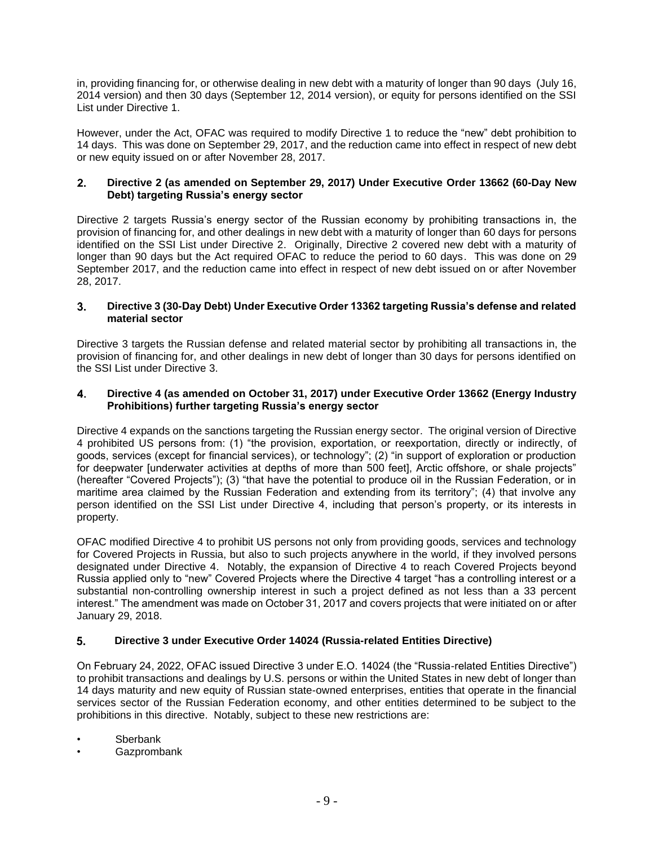in, providing financing for, or otherwise dealing in new debt with a maturity of longer than 90 days (July 16, 2014 version) and then 30 days (September 12, 2014 version), or equity for persons identified on the SSI List under Directive 1.

However, under the Act, OFAC was required to modify Directive 1 to reduce the "new" debt prohibition to 14 days. This was done on September 29, 2017, and the reduction came into effect in respect of new debt or new equity issued on or after November 28, 2017.

#### $2.$ **Directive 2 (as amended on September 29, 2017) Under Executive Order 13662 (60-Day New Debt) targeting Russia's energy sector**

Directive 2 targets Russia's energy sector of the Russian economy by prohibiting transactions in, the provision of financing for, and other dealings in new debt with a maturity of longer than 60 days for persons identified on the SSI List under Directive 2. Originally, Directive 2 covered new debt with a maturity of longer than 90 days but the Act required OFAC to reduce the period to 60 days. This was done on 29 September 2017, and the reduction came into effect in respect of new debt issued on or after November 28, 2017.

#### **Directive 3 (30-Day Debt) Under Executive Order 13362 targeting Russia's defense and related**  3. **material sector**

Directive 3 targets the Russian defense and related material sector by prohibiting all transactions in, the provision of financing for, and other dealings in new debt of longer than 30 days for persons identified on the SSI List under Directive 3.

#### 4. **Directive 4 (as amended on October 31, 2017) under Executive Order 13662 (Energy Industry Prohibitions) further targeting Russia's energy sector**

Directive 4 expands on the sanctions targeting the Russian energy sector. The original version of Directive 4 prohibited US persons from: (1) "the provision, exportation, or reexportation, directly or indirectly, of goods, services (except for financial services), or technology"; (2) "in support of exploration or production for deepwater [underwater activities at depths of more than 500 feet], Arctic offshore, or shale projects" (hereafter "Covered Projects"); (3) "that have the potential to produce oil in the Russian Federation, or in maritime area claimed by the Russian Federation and extending from its territory"; (4) that involve any person identified on the SSI List under Directive 4, including that person's property, or its interests in property.

OFAC modified Directive 4 to prohibit US persons not only from providing goods, services and technology for Covered Projects in Russia, but also to such projects anywhere in the world, if they involved persons designated under Directive 4. Notably, the expansion of Directive 4 to reach Covered Projects beyond Russia applied only to "new" Covered Projects where the Directive 4 target "has a controlling interest or a substantial non-controlling ownership interest in such a project defined as not less than a 33 percent interest." The amendment was made on October 31, 2017 and covers projects that were initiated on or after January 29, 2018.

#### 5. **Directive 3 under Executive Order 14024 (Russia-related Entities Directive)**

On February 24, 2022, OFAC issued Directive 3 under E.O. 14024 (the "Russia-related Entities Directive") to prohibit transactions and dealings by U.S. persons or within the United States in new debt of longer than 14 days maturity and new equity of Russian state-owned enterprises, entities that operate in the financial services sector of the Russian Federation economy, and other entities determined to be subject to the prohibitions in this directive. Notably, subject to these new restrictions are:

- **Sberbank**
- Gazprombank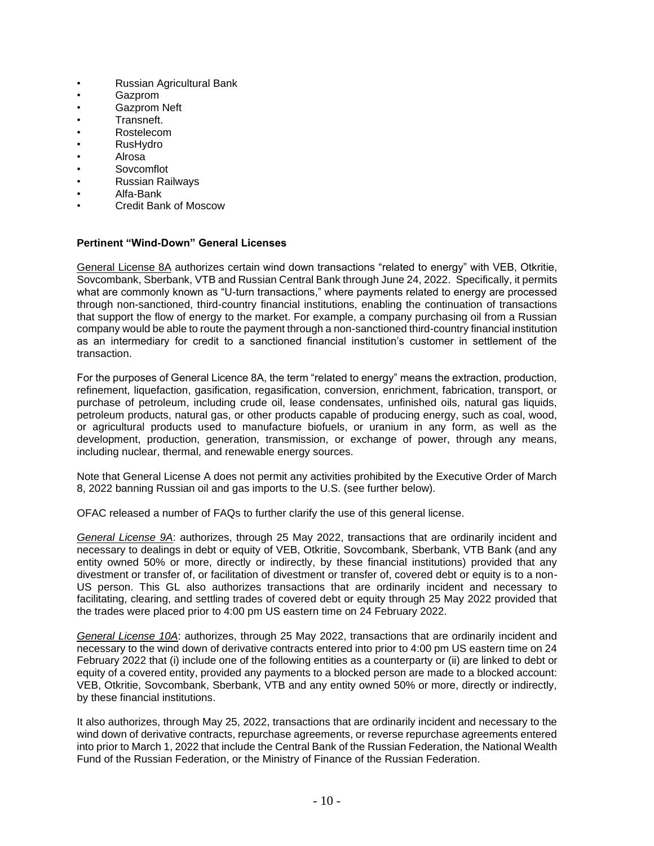- Russian Agricultural Bank
- Gazprom
- Gazprom Neft
- Transneft.
- Rostelecom
- RusHydro
- Alrosa
- Sovcomflot
- Russian Railways
- Alfa-Bank
- Credit Bank of Moscow

### **Pertinent "Wind-Down" General Licenses**

General License 8A authorizes certain wind down transactions "related to energy" with VEB, Otkritie, Sovcombank, Sberbank, VTB and Russian Central Bank through June 24, 2022. Specifically, it permits what are commonly known as "U-turn transactions," where payments related to energy are processed through non-sanctioned, third-country financial institutions, enabling the continuation of transactions that support the flow of energy to the market. For example, a company purchasing oil from a Russian company would be able to route the payment through a non-sanctioned third-country financial institution as an intermediary for credit to a sanctioned financial institution's customer in settlement of the transaction.

For the purposes of General Licence 8A, the term "related to energy" means the extraction, production, refinement, liquefaction, gasification, regasification, conversion, enrichment, fabrication, transport, or purchase of petroleum, including crude oil, lease condensates, unfinished oils, natural gas liquids, petroleum products, natural gas, or other products capable of producing energy, such as coal, wood, or agricultural products used to manufacture biofuels, or uranium in any form, as well as the development, production, generation, transmission, or exchange of power, through any means, including nuclear, thermal, and renewable energy sources.

Note that General License A does not permit any activities prohibited by the Executive Order of March 8, 2022 banning Russian oil and gas imports to the U.S. (see further below).

OFAC released a number of FAQs to further clarify the use of this general license.

*General License 9A*: authorizes, through 25 May 2022, transactions that are ordinarily incident and necessary to dealings in debt or equity of VEB, Otkritie, Sovcombank, Sberbank, VTB Bank (and any entity owned 50% or more, directly or indirectly, by these financial institutions) provided that any divestment or transfer of, or facilitation of divestment or transfer of, covered debt or equity is to a non-US person. This GL also authorizes transactions that are ordinarily incident and necessary to facilitating, clearing, and settling trades of covered debt or equity through 25 May 2022 provided that the trades were placed prior to 4:00 pm US eastern time on 24 February 2022.

*General License 10A*: authorizes, through 25 May 2022, transactions that are ordinarily incident and necessary to the wind down of derivative contracts entered into prior to 4:00 pm US eastern time on 24 February 2022 that (i) include one of the following entities as a counterparty or (ii) are linked to debt or equity of a covered entity, provided any payments to a blocked person are made to a blocked account: VEB, Otkritie, Sovcombank, Sberbank, VTB and any entity owned 50% or more, directly or indirectly, by these financial institutions.

It also authorizes, through May 25, 2022, transactions that are ordinarily incident and necessary to the wind down of derivative contracts, repurchase agreements, or reverse repurchase agreements entered into prior to March 1, 2022 that include the Central Bank of the Russian Federation, the National Wealth Fund of the Russian Federation, or the Ministry of Finance of the Russian Federation.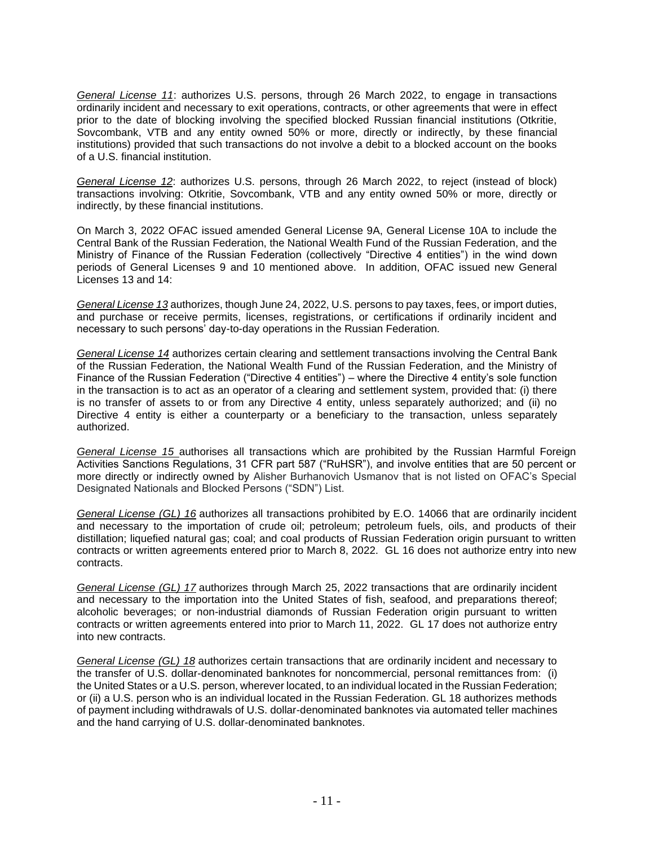*General License 11*: authorizes U.S. persons, through 26 March 2022, to engage in transactions ordinarily incident and necessary to exit operations, contracts, or other agreements that were in effect prior to the date of blocking involving the specified blocked Russian financial institutions (Otkritie, Sovcombank, VTB and any entity owned 50% or more, directly or indirectly, by these financial institutions) provided that such transactions do not involve a debit to a blocked account on the books of a U.S. financial institution.

*General License 12*: authorizes U.S. persons, through 26 March 2022, to reject (instead of block) transactions involving: Otkritie, Sovcombank, VTB and any entity owned 50% or more, directly or indirectly, by these financial institutions.

On March 3, 2022 OFAC issued amended General License 9A, General License 10A to include the Central Bank of the Russian Federation, the National Wealth Fund of the Russian Federation, and the Ministry of Finance of the Russian Federation (collectively "Directive 4 entities") in the wind down periods of General Licenses 9 and 10 mentioned above. In addition, OFAC issued new General Licenses 13 and 14:

*General License 13* authorizes, though June 24, 2022, U.S. persons to pay taxes, fees, or import duties, and purchase or receive permits, licenses, registrations, or certifications if ordinarily incident and necessary to such persons' day-to-day operations in the Russian Federation.

*General License 14* authorizes certain clearing and settlement transactions involving the Central Bank of the Russian Federation, the National Wealth Fund of the Russian Federation, and the Ministry of Finance of the Russian Federation ("Directive 4 entities") – where the Directive 4 entity's sole function in the transaction is to act as an operator of a clearing and settlement system, provided that: (i) there is no transfer of assets to or from any Directive 4 entity, unless separately authorized; and (ii) no Directive 4 entity is either a counterparty or a beneficiary to the transaction, unless separately authorized.

*General License 15* authorises all transactions which are prohibited by the Russian Harmful Foreign Activities Sanctions Regulations, 31 CFR part 587 ("RuHSR"), and involve entities that are 50 percent or more directly or indirectly owned by Alisher Burhanovich Usmanov that is not listed on OFAC's Special Designated Nationals and Blocked Persons ("SDN") List.

*General License (GL) 16* authorizes all transactions prohibited by E.O. 14066 that are ordinarily incident and necessary to the importation of crude oil; petroleum; petroleum fuels, oils, and products of their distillation; liquefied natural gas; coal; and coal products of Russian Federation origin pursuant to written contracts or written agreements entered prior to March 8, 2022. GL 16 does not authorize entry into new contracts.

*General License (GL) 17* authorizes through March 25, 2022 transactions that are ordinarily incident and necessary to the importation into the United States of fish, seafood, and preparations thereof; alcoholic beverages; or non-industrial diamonds of Russian Federation origin pursuant to written contracts or written agreements entered into prior to March 11, 2022. GL 17 does not authorize entry into new contracts.

*General License (GL) 18* authorizes certain transactions that are ordinarily incident and necessary to the transfer of U.S. dollar-denominated banknotes for noncommercial, personal remittances from: (i) the United States or a U.S. person, wherever located, to an individual located in the Russian Federation; or (ii) a U.S. person who is an individual located in the Russian Federation. GL 18 authorizes methods of payment including withdrawals of U.S. dollar-denominated banknotes via automated teller machines and the hand carrying of U.S. dollar-denominated banknotes.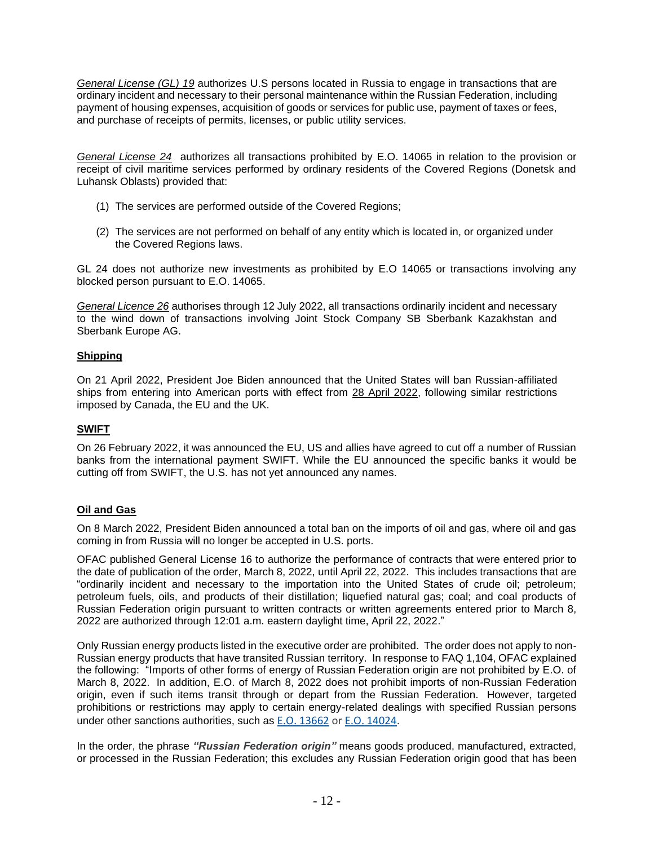*General License (GL) 19* authorizes U.S persons located in Russia to engage in transactions that are ordinary incident and necessary to their personal maintenance within the Russian Federation, including payment of housing expenses, acquisition of goods or services for public use, payment of taxes or fees, and purchase of receipts of permits, licenses, or public utility services.

*General License 24* authorizes all transactions prohibited by E.O. 14065 in relation to the provision or receipt of civil maritime services performed by ordinary residents of the Covered Regions (Donetsk and Luhansk Oblasts) provided that:

- (1) The services are performed outside of the Covered Regions;
- (2) The services are not performed on behalf of any entity which is located in, or organized under the Covered Regions laws.

GL 24 does not authorize new investments as prohibited by E.O 14065 or transactions involving any blocked person pursuant to E.O. 14065.

*General Licence 26* authorises through 12 July 2022, all transactions ordinarily incident and necessary to the wind down of transactions involving Joint Stock Company SB Sberbank Kazakhstan and Sberbank Europe AG.

# **Shipping**

On 21 April 2022, President Joe Biden announced that the United States will ban Russian-affiliated ships from entering into American ports with effect from 28 April 2022, following similar restrictions imposed by Canada, the EU and the UK.

# **SWIFT**

On 26 February 2022, it was announced the EU, US and allies have agreed to cut off a number of Russian banks from the international payment SWIFT. While the EU announced the specific banks it would be cutting off from SWIFT, the U.S. has not yet announced any names.

# **Oil and Gas**

On 8 March 2022, President Biden announced a total ban on the imports of oil and gas, where oil and gas coming in from Russia will no longer be accepted in U.S. ports.

OFAC published General License 16 to authorize the performance of contracts that were entered prior to the date of publication of the order, March 8, 2022, until April 22, 2022. This includes transactions that are "ordinarily incident and necessary to the importation into the United States of crude oil; petroleum; petroleum fuels, oils, and products of their distillation; liquefied natural gas; coal; and coal products of Russian Federation origin pursuant to written contracts or written agreements entered prior to March 8, 2022 are authorized through 12:01 a.m. eastern daylight time, April 22, 2022."

Only Russian energy products listed in the executive order are prohibited. The order does not apply to non-Russian energy products that have transited Russian territory. In response to FAQ 1,104, OFAC explained the following: "Imports of other forms of energy of Russian Federation origin are not prohibited by E.O. of March 8, 2022. In addition, E.O. of March 8, 2022 does not prohibit imports of non-Russian Federation origin, even if such items transit through or depart from the Russian Federation. However, targeted prohibitions or restrictions may apply to certain energy-related dealings with specified Russian persons under other sanctions authorities, such as E.O. 13662 or E.O. 14024.

In the order, the phrase *"Russian Federation origin"* means goods produced, manufactured, extracted, or processed in the Russian Federation; this excludes any Russian Federation origin good that has been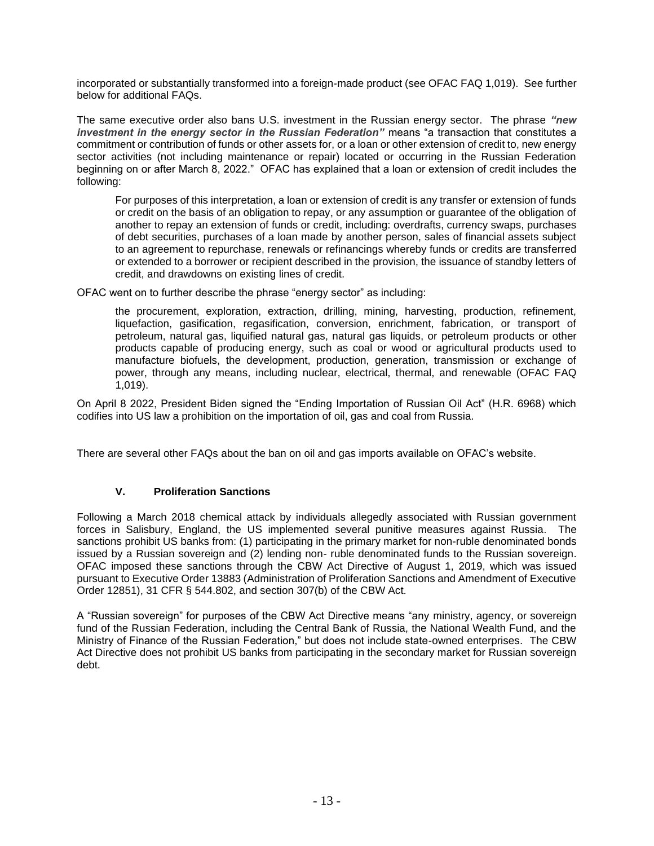incorporated or substantially transformed into a foreign-made product (see OFAC FAQ 1,019). See further below for additional FAQs.

The same executive order also bans U.S. investment in the Russian energy sector. The phrase *"new investment in the energy sector in the Russian Federation"* means "a transaction that constitutes a commitment or contribution of funds or other assets for, or a loan or other extension of credit to, new energy sector activities (not including maintenance or repair) located or occurring in the Russian Federation beginning on or after March 8, 2022." OFAC has explained that a loan or extension of credit includes the following:

For purposes of this interpretation, a loan or extension of credit is any transfer or extension of funds or credit on the basis of an obligation to repay, or any assumption or guarantee of the obligation of another to repay an extension of funds or credit, including: overdrafts, currency swaps, purchases of debt securities, purchases of a loan made by another person, sales of financial assets subject to an agreement to repurchase, renewals or refinancings whereby funds or credits are transferred or extended to a borrower or recipient described in the provision, the issuance of standby letters of credit, and drawdowns on existing lines of credit.

OFAC went on to further describe the phrase "energy sector" as including:

the procurement, exploration, extraction, drilling, mining, harvesting, production, refinement, liquefaction, gasification, regasification, conversion, enrichment, fabrication, or transport of petroleum, natural gas, liquified natural gas, natural gas liquids, or petroleum products or other products capable of producing energy, such as coal or wood or agricultural products used to manufacture biofuels, the development, production, generation, transmission or exchange of power, through any means, including nuclear, electrical, thermal, and renewable (OFAC FAQ 1,019).

On April 8 2022, President Biden signed the "Ending Importation of Russian Oil Act" (H.R. 6968) which codifies into US law a prohibition on the importation of oil, gas and coal from Russia.

There are several other FAQs about the ban on oil and gas imports available on OFAC's website.

# **V. Proliferation Sanctions**

Following a March 2018 chemical attack by individuals allegedly associated with Russian government forces in Salisbury, England, the US implemented several punitive measures against Russia. The sanctions prohibit US banks from: (1) participating in the primary market for non-ruble denominated bonds issued by a Russian sovereign and (2) lending non- ruble denominated funds to the Russian sovereign. OFAC imposed these sanctions through the CBW Act Directive of August 1, 2019, which was issued pursuant to Executive Order 13883 (Administration of Proliferation Sanctions and Amendment of Executive Order 12851), 31 CFR § 544.802, and section 307(b) of the CBW Act.

A "Russian sovereign" for purposes of the CBW Act Directive means "any ministry, agency, or sovereign fund of the Russian Federation, including the Central Bank of Russia, the National Wealth Fund, and the Ministry of Finance of the Russian Federation," but does not include state-owned enterprises. The CBW Act Directive does not prohibit US banks from participating in the secondary market for Russian sovereign debt.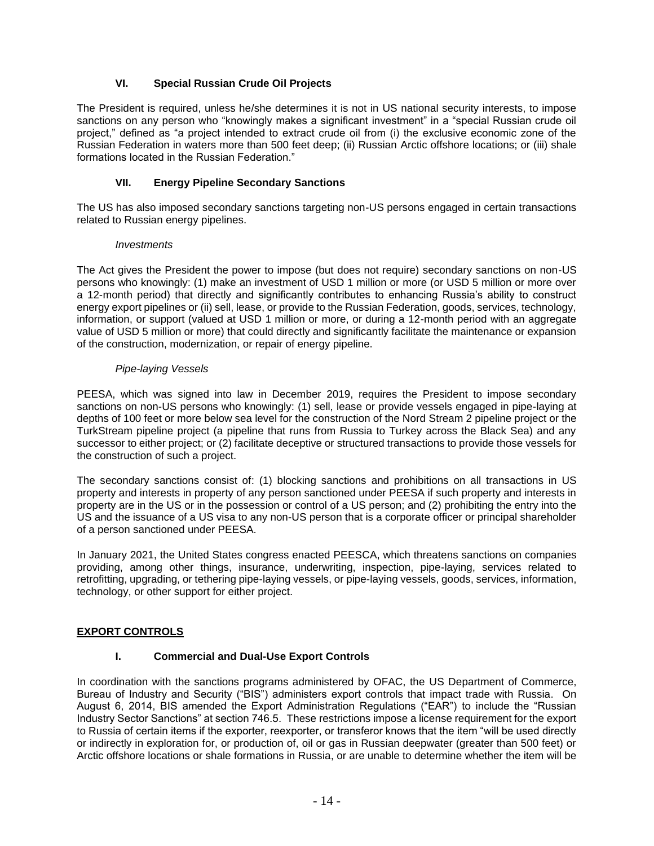# **VI. Special Russian Crude Oil Projects**

The President is required, unless he/she determines it is not in US national security interests, to impose sanctions on any person who "knowingly makes a significant investment" in a "special Russian crude oil project," defined as "a project intended to extract crude oil from (i) the exclusive economic zone of the Russian Federation in waters more than 500 feet deep; (ii) Russian Arctic offshore locations; or (iii) shale formations located in the Russian Federation."

# **VII. Energy Pipeline Secondary Sanctions**

The US has also imposed secondary sanctions targeting non-US persons engaged in certain transactions related to Russian energy pipelines.

### *Investments*

The Act gives the President the power to impose (but does not require) secondary sanctions on non-US persons who knowingly: (1) make an investment of USD 1 million or more (or USD 5 million or more over a 12-month period) that directly and significantly contributes to enhancing Russia's ability to construct energy export pipelines or (ii) sell, lease, or provide to the Russian Federation, goods, services, technology, information, or support (valued at USD 1 million or more, or during a 12-month period with an aggregate value of USD 5 million or more) that could directly and significantly facilitate the maintenance or expansion of the construction, modernization, or repair of energy pipeline.

# *Pipe-laying Vessels*

PEESA, which was signed into law in December 2019, requires the President to impose secondary sanctions on non-US persons who knowingly: (1) sell, lease or provide vessels engaged in pipe-laying at depths of 100 feet or more below sea level for the construction of the Nord Stream 2 pipeline project or the TurkStream pipeline project (a pipeline that runs from Russia to Turkey across the Black Sea) and any successor to either project; or (2) facilitate deceptive or structured transactions to provide those vessels for the construction of such a project.

The secondary sanctions consist of: (1) blocking sanctions and prohibitions on all transactions in US property and interests in property of any person sanctioned under PEESA if such property and interests in property are in the US or in the possession or control of a US person; and (2) prohibiting the entry into the US and the issuance of a US visa to any non-US person that is a corporate officer or principal shareholder of a person sanctioned under PEESA.

In January 2021, the United States congress enacted PEESCA, which threatens sanctions on companies providing, among other things, insurance, underwriting, inspection, pipe-laying, services related to retrofitting, upgrading, or tethering pipe-laying vessels, or pipe-laying vessels, goods, services, information, technology, or other support for either project.

# **EXPORT CONTROLS**

# **I. Commercial and Dual-Use Export Controls**

In coordination with the sanctions programs administered by OFAC, the US Department of Commerce, Bureau of Industry and Security ("BIS") administers export controls that impact trade with Russia. On August 6, 2014, BIS amended the Export Administration Regulations ("EAR") to include the "Russian Industry Sector Sanctions" at section 746.5. These restrictions impose a license requirement for the export to Russia of certain items if the exporter, reexporter, or transferor knows that the item "will be used directly or indirectly in exploration for, or production of, oil or gas in Russian deepwater (greater than 500 feet) or Arctic offshore locations or shale formations in Russia, or are unable to determine whether the item will be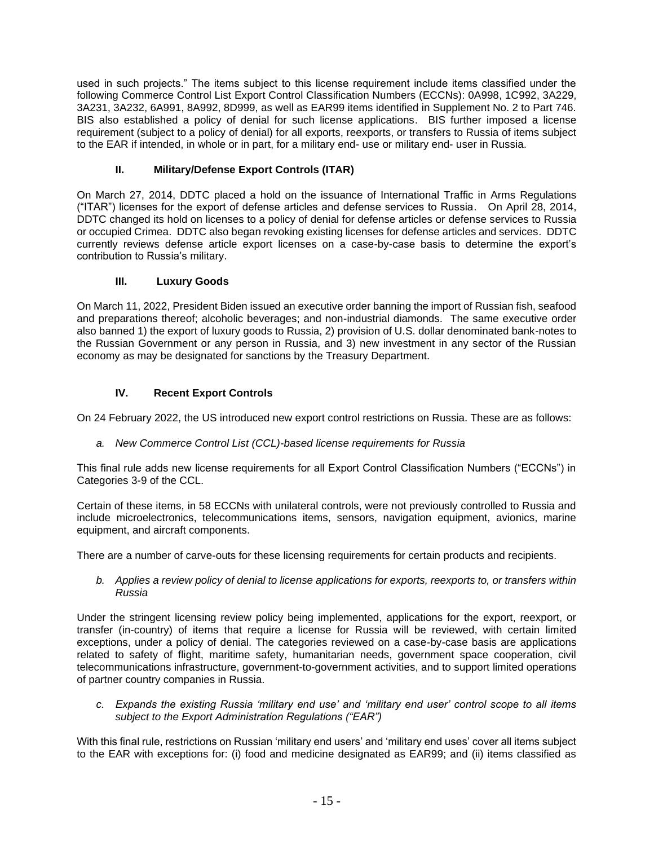used in such projects." The items subject to this license requirement include items classified under the following Commerce Control List Export Control Classification Numbers (ECCNs): 0A998, 1C992, 3A229, 3A231, 3A232, 6A991, 8A992, 8D999, as well as EAR99 items identified in Supplement No. 2 to Part 746. BIS also established a policy of denial for such license applications. BIS further imposed a license requirement (subject to a policy of denial) for all exports, reexports, or transfers to Russia of items subject to the EAR if intended, in whole or in part, for a military end- use or military end- user in Russia.

# **II. Military/Defense Export Controls (ITAR)**

On March 27, 2014, DDTC placed a hold on the issuance of International Traffic in Arms Regulations ("ITAR") licenses for the export of defense articles and defense services to Russia. On April 28, 2014, DDTC changed its hold on licenses to a policy of denial for defense articles or defense services to Russia or occupied Crimea. DDTC also began revoking existing licenses for defense articles and services. DDTC currently reviews defense article export licenses on a case-by-case basis to determine the export's contribution to Russia's military.

# **III. Luxury Goods**

On March 11, 2022, President Biden issued an executive order banning the import of Russian fish, seafood and preparations thereof; alcoholic beverages; and non-industrial diamonds. The same executive order also banned 1) the export of luxury goods to Russia, 2) provision of U.S. dollar denominated bank-notes to the Russian Government or any person in Russia, and 3) new investment in any sector of the Russian economy as may be designated for sanctions by the Treasury Department.

# **IV. Recent Export Controls**

On 24 February 2022, the US introduced new export control restrictions on Russia. These are as follows:

*a. New Commerce Control List (CCL)-based license requirements for Russia*

This final rule adds new license requirements for all Export Control Classification Numbers ("ECCNs") in Categories 3-9 of the CCL.

Certain of these items, in 58 ECCNs with unilateral controls, were not previously controlled to Russia and include microelectronics, telecommunications items, sensors, navigation equipment, avionics, marine equipment, and aircraft components.

There are a number of carve-outs for these licensing requirements for certain products and recipients.

*b. Applies a review policy of denial to license applications for exports, reexports to, or transfers within Russia*

Under the stringent licensing review policy being implemented, applications for the export, reexport, or transfer (in-country) of items that require a license for Russia will be reviewed, with certain limited exceptions, under a policy of denial. The categories reviewed on a case-by-case basis are applications related to safety of flight, maritime safety, humanitarian needs, government space cooperation, civil telecommunications infrastructure, government-to-government activities, and to support limited operations of partner country companies in Russia.

*c. Expands the existing Russia 'military end use' and 'military end user' control scope to all items subject to the Export Administration Regulations ("EAR")*

With this final rule, restrictions on Russian 'military end users' and 'military end uses' cover all items subject to the EAR with exceptions for: (i) food and medicine designated as EAR99; and (ii) items classified as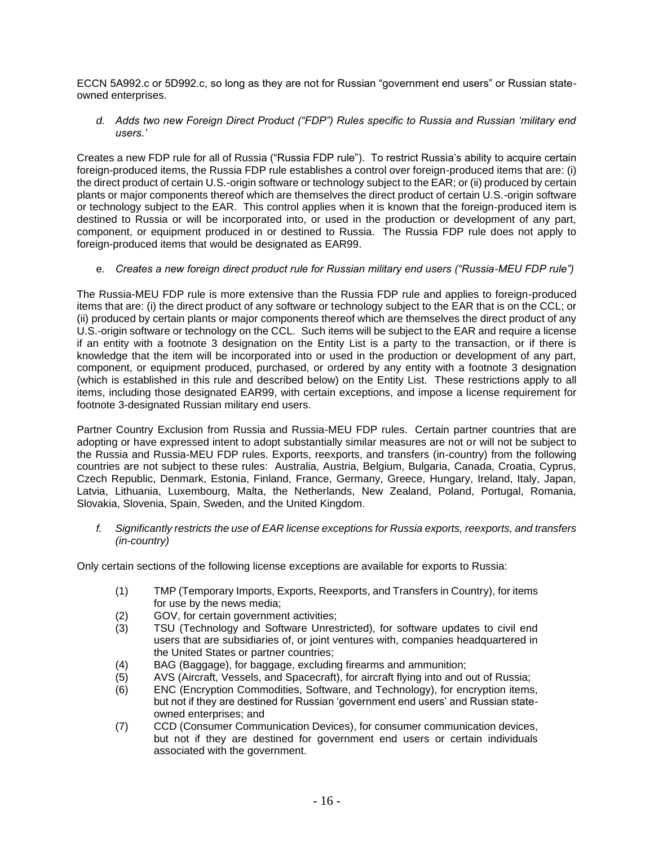ECCN 5A992.c or 5D992.c, so long as they are not for Russian "government end users" or Russian stateowned enterprises.

*d. Adds two new Foreign Direct Product ("FDP") Rules specific to Russia and Russian 'military end users.'*

Creates a new FDP rule for all of Russia ("Russia FDP rule"). To restrict Russia's ability to acquire certain foreign-produced items, the Russia FDP rule establishes a control over foreign-produced items that are: (i) the direct product of certain U.S.-origin software or technology subject to the EAR; or (ii) produced by certain plants or major components thereof which are themselves the direct product of certain U.S.-origin software or technology subject to the EAR. This control applies when it is known that the foreign-produced item is destined to Russia or will be incorporated into, or used in the production or development of any part, component, or equipment produced in or destined to Russia. The Russia FDP rule does not apply to foreign-produced items that would be designated as EAR99.

e. *Creates a new foreign direct product rule for Russian military end users ("Russia-MEU FDP rule")*

The Russia-MEU FDP rule is more extensive than the Russia FDP rule and applies to foreign-produced items that are: (i) the direct product of any software or technology subject to the EAR that is on the CCL; or (ii) produced by certain plants or major components thereof which are themselves the direct product of any U.S.-origin software or technology on the CCL. Such items will be subject to the EAR and require a license if an entity with a footnote 3 designation on the Entity List is a party to the transaction, or if there is knowledge that the item will be incorporated into or used in the production or development of any part, component, or equipment produced, purchased, or ordered by any entity with a footnote 3 designation (which is established in this rule and described below) on the Entity List. These restrictions apply to all items, including those designated EAR99, with certain exceptions, and impose a license requirement for footnote 3-designated Russian military end users.

Partner Country Exclusion from Russia and Russia-MEU FDP rules. Certain partner countries that are adopting or have expressed intent to adopt substantially similar measures are not or will not be subject to the Russia and Russia-MEU FDP rules. Exports, reexports, and transfers (in-country) from the following countries are not subject to these rules: Australia, Austria, Belgium, Bulgaria, Canada, Croatia, Cyprus, Czech Republic, Denmark, Estonia, Finland, France, Germany, Greece, Hungary, Ireland, Italy, Japan, Latvia, Lithuania, Luxembourg, Malta, the Netherlands, New Zealand, Poland, Portugal, Romania, Slovakia, Slovenia, Spain, Sweden, and the United Kingdom.

*f. Significantly restricts the use of EAR license exceptions for Russia exports, reexports, and transfers (in-country)*

Only certain sections of the following license exceptions are available for exports to Russia:

- (1) TMP (Temporary Imports, Exports, Reexports, and Transfers in Country), for items for use by the news media;
- (2) GOV, for certain government activities;
- (3) TSU (Technology and Software Unrestricted), for software updates to civil end users that are subsidiaries of, or joint ventures with, companies headquartered in the United States or partner countries;
- (4) BAG (Baggage), for baggage, excluding firearms and ammunition;
- (5) AVS (Aircraft, Vessels, and Spacecraft), for aircraft flying into and out of Russia;
- (6) ENC (Encryption Commodities, Software, and Technology), for encryption items, but not if they are destined for Russian 'government end users' and Russian stateowned enterprises; and
- (7) CCD (Consumer Communication Devices), for consumer communication devices, but not if they are destined for government end users or certain individuals associated with the government.